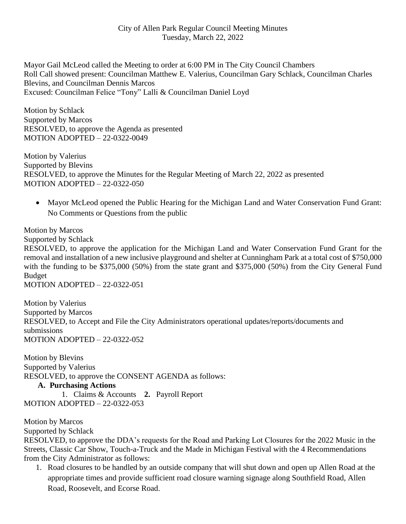Mayor Gail McLeod called the Meeting to order at 6:00 PM in The City Council Chambers Roll Call showed present: Councilman Matthew E. Valerius, Councilman Gary Schlack, Councilman Charles Blevins, and Councilman Dennis Marcos Excused: Councilman Felice "Tony" Lalli & Councilman Daniel Loyd

Motion by Schlack Supported by Marcos RESOLVED, to approve the Agenda as presented MOTION ADOPTED – 22-0322-0049

Motion by Valerius Supported by Blevins RESOLVED, to approve the Minutes for the Regular Meeting of March 22, 2022 as presented MOTION ADOPTED – 22-0322-050

• Mayor McLeod opened the Public Hearing for the Michigan Land and Water Conservation Fund Grant: No Comments or Questions from the public

Motion by Marcos

Supported by Schlack

RESOLVED, to approve the application for the Michigan Land and Water Conservation Fund Grant for the removal and installation of a new inclusive playground and shelter at Cunningham Park at a total cost of \$750,000 with the funding to be \$375,000 (50%) from the state grant and \$375,000 (50%) from the City General Fund Budget

MOTION ADOPTED – 22-0322-051

Motion by Valerius Supported by Marcos RESOLVED, to Accept and File the City Administrators operational updates/reports/documents and submissions MOTION ADOPTED – 22-0322-052

Motion by Blevins Supported by Valerius RESOLVED, to approve the CONSENT AGENDA as follows:

## **A. Purchasing Actions**

1. Claims & Accounts **2.** Payroll Report MOTION ADOPTED – 22-0322-053

Motion by Marcos

Supported by Schlack

RESOLVED, to approve the DDA's requests for the Road and Parking Lot Closures for the 2022 Music in the Streets, Classic Car Show, Touch-a-Truck and the Made in Michigan Festival with the 4 Recommendations from the City Administrator as follows:

1. Road closures to be handled by an outside company that will shut down and open up Allen Road at the appropriate times and provide sufficient road closure warning signage along Southfield Road, Allen Road, Roosevelt, and Ecorse Road.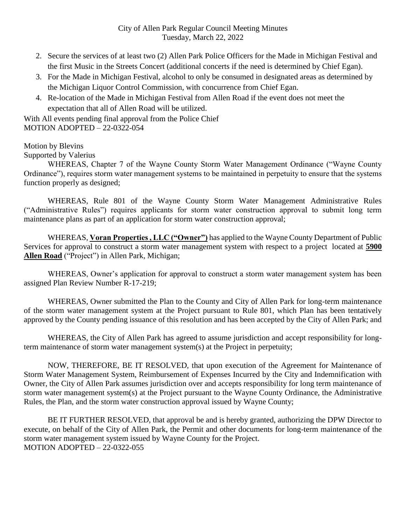- 2. Secure the services of at least two (2) Allen Park Police Officers for the Made in Michigan Festival and the first Music in the Streets Concert (additional concerts if the need is determined by Chief Egan).
- 3. For the Made in Michigan Festival, alcohol to only be consumed in designated areas as determined by the Michigan Liquor Control Commission, with concurrence from Chief Egan.
- 4. Re-location of the Made in Michigan Festival from Allen Road if the event does not meet the expectation that all of Allen Road will be utilized.

With All events pending final approval from the Police Chief MOTION ADOPTED – 22-0322-054

Motion by Blevins

Supported by Valerius

WHEREAS, Chapter 7 of the Wayne County Storm Water Management Ordinance ("Wayne County Ordinance"), requires storm water management systems to be maintained in perpetuity to ensure that the systems function properly as designed;

WHEREAS, Rule 801 of the Wayne County Storm Water Management Administrative Rules ("Administrative Rules") requires applicants for storm water construction approval to submit long term maintenance plans as part of an application for storm water construction approval;

WHEREAS, **Voran Properties , LLC ("Owner")** has applied to the Wayne County Department of Public Services for approval to construct a storm water management system with respect to a project located at **5900 Allen Road** ("Project") in Allen Park, Michigan;

WHEREAS, Owner's application for approval to construct a storm water management system has been assigned Plan Review Number R-17-219;

WHEREAS, Owner submitted the Plan to the County and City of Allen Park for long-term maintenance of the storm water management system at the Project pursuant to Rule 801, which Plan has been tentatively approved by the County pending issuance of this resolution and has been accepted by the City of Allen Park; and

WHEREAS, the City of Allen Park has agreed to assume jurisdiction and accept responsibility for longterm maintenance of storm water management system(s) at the Project in perpetuity;

NOW, THEREFORE, BE IT RESOLVED, that upon execution of the Agreement for Maintenance of Storm Water Management System, Reimbursement of Expenses Incurred by the City and Indemnification with Owner, the City of Allen Park assumes jurisdiction over and accepts responsibility for long term maintenance of storm water management system(s) at the Project pursuant to the Wayne County Ordinance, the Administrative Rules, the Plan, and the storm water construction approval issued by Wayne County;

BE IT FURTHER RESOLVED, that approval be and is hereby granted, authorizing the DPW Director to execute, on behalf of the City of Allen Park, the Permit and other documents for long-term maintenance of the storm water management system issued by Wayne County for the Project. MOTION ADOPTED – 22-0322-055